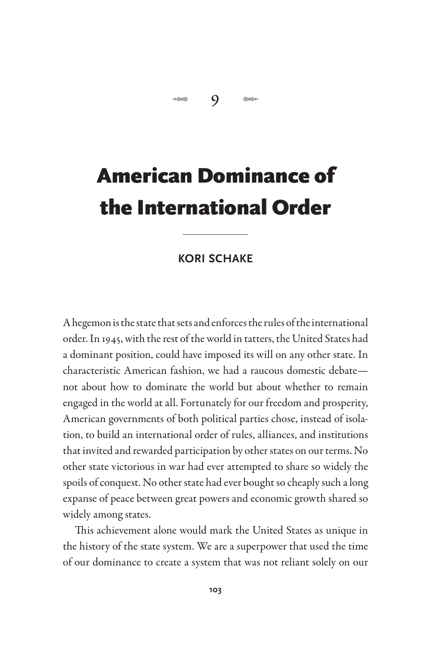$\Longleftrightarrow$  $\mathsf{Q} \qquad \Longleftrightarrow$ 

# American Dominance of the International Order

# **KORI SCHAKE**

A hegemon is the state that sets and enforces the rules of the international order. In 1945, with the rest of the world in tatters, the United States had a dominant position, could have imposed its will on any other state. In characteristic American fashion, we had a raucous domestic debate not about how to dominate the world but about whether to remain engaged in the world at all. Fortunately for our freedom and prosperity, American governments of both political parties chose, instead of isolation, to build an international order of rules, alliances, and institutions that invited and rewarded participation by other states on our terms. No other state victorious in war had ever attempted to share so widely the spoils of conquest. No other state had ever bought so cheaply such a long expanse of peace between great powers and economic growth shared so widely among states.

This achievement alone would mark the United States as unique in the history of the state system. We are a superpower that used the time of our dominance to create a system that was not reliant solely on our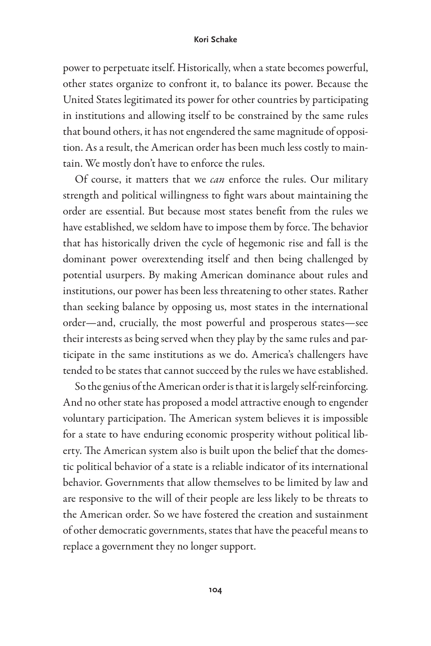power to perpetuate itself. Historically, when a state becomes powerful, other states organize to confront it, to balance its power. Because the United States legitimated its power for other countries by participating in institutions and allowing itself to be constrained by the same rules that bound others, it has not engendered the same magnitude of opposition. As a result, the American order has been much less costly to maintain. We mostly don't have to enforce the rules.

Of course, it matters that we *can* enforce the rules. Our military strength and political willingness to fight wars about maintaining the order are essential. But because most states benefit from the rules we have established, we seldom have to impose them by force. The behavior that has historically driven the cycle of hegemonic rise and fall is the dominant power overextending itself and then being challenged by potential usurpers. By making American dominance about rules and institutions, our power has been less threatening to other states. Rather than seeking balance by opposing us, most states in the international order—and, crucially, the most powerful and prosperous states—see their interests as being served when they play by the same rules and participate in the same institutions as we do. America's challengers have tended to be states that cannot succeed by the rules we have established.

So the genius of the American order is that it is largely self-reinforcing. And no other state has proposed a model attractive enough to engender voluntary participation. The American system believes it is impossible for a state to have enduring economic prosperity without political liberty. The American system also is built upon the belief that the domestic political behavior of a state is a reliable indicator of its international behavior. Governments that allow themselves to be limited by law and are responsive to the will of their people are less likely to be threats to the American order. So we have fostered the creation and sustainment of other democratic governments, states that have the peaceful means to replace a government they no longer support.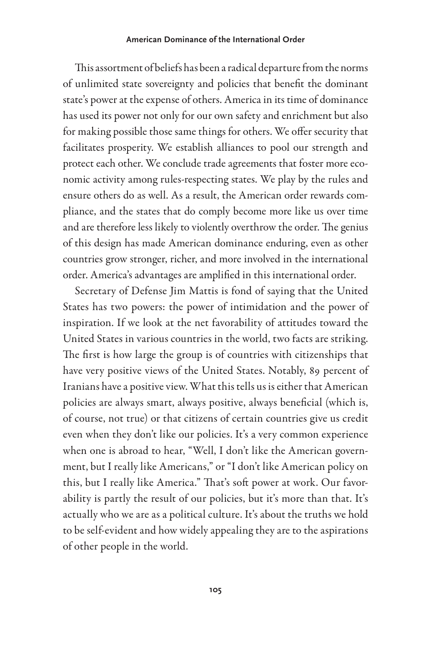This assortment of beliefs has been a radical departure from the norms of unlimited state sovereignty and policies that benefit the dominant state's power at the expense of others. America in its time of dominance has used its power not only for our own safety and enrichment but also for making possible those same things for others. We offer security that facilitates prosperity. We establish alliances to pool our strength and protect each other. We conclude trade agreements that foster more economic activity among rules-respecting states. We play by the rules and ensure others do as well. As a result, the American order rewards compliance, and the states that do comply become more like us over time and are therefore less likely to violently overthrow the order. The genius of this design has made American dominance enduring, even as other countries grow stronger, richer, and more involved in the international order. America's advantages are amplified in this international order.

Secretary of Defense Jim Mattis is fond of saying that the United States has two powers: the power of intimidation and the power of inspiration. If we look at the net favorability of attitudes toward the United States in various countries in the world, two facts are striking. The first is how large the group is of countries with citizenships that have very positive views of the United States. Notably, 89 percent of Iranians have a positive view. What this tells us is either that American policies are always smart, always positive, always beneficial (which is, of course, not true) or that citizens of certain countries give us credit even when they don't like our policies. It's a very common experience when one is abroad to hear, "Well, I don't like the American government, but I really like Americans," or "I don't like American policy on this, but I really like America." That's soft power at work. Our favorability is partly the result of our policies, but it's more than that. It's actually who we are as a political culture. It's about the truths we hold to be self-evident and how widely appealing they are to the aspirations of other people in the world.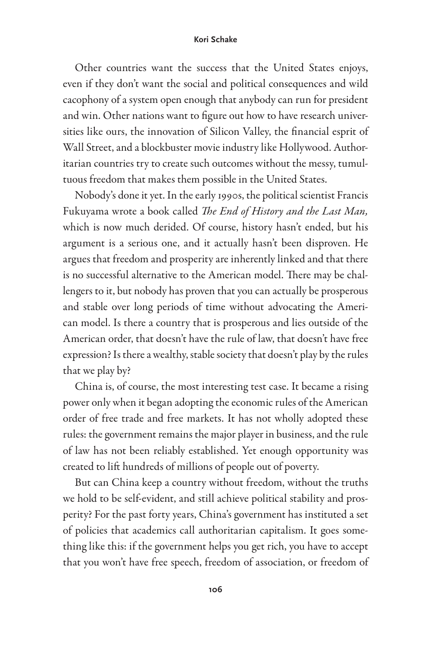Other countries want the success that the United States enjoys, even if they don't want the social and political consequences and wild cacophony of a system open enough that anybody can run for president and win. Other nations want to figure out how to have research universities like ours, the innovation of Silicon Valley, the financial esprit of Wall Street, and a blockbuster movie industry like Hollywood. Authoritarian countries try to create such outcomes without the messy, tumultuous freedom that makes them possible in the United States.

Nobody's done it yet. In the early 1990s, the political scientist Francis Fukuyama wrote a book called *The End of History and the Last Man*, which is now much derided. Of course, history hasn't ended, but his argument is a serious one, and it actually hasn't been disproven. He argues that freedom and prosperity are inherently linked and that there is no successful alternative to the American model. There may be challengers to it, but nobody has proven that you can actually be prosperous and stable over long periods of time without advocating the American model. Is there a country that is prosperous and lies outside of the American order, that doesn't have the rule of law, that doesn't have free expression? Is there a wealthy, stable society that doesn't play by the rules that we play by?

China is, of course, the most interesting test case. It became a rising power only when it began adopting the economic rules of the American order of free trade and free markets. It has not wholly adopted these rules: the government remains the major player in business, and the rule of law has not been reliably established. Yet enough opportunity was created to lift hundreds of millions of people out of poverty.

But can China keep a country without freedom, without the truths we hold to be self-evident, and still achieve political stability and prosperity? For the past forty years, China's government has instituted a set of policies that academics call authoritarian capitalism. It goes something like this: if the government helps you get rich, you have to accept that you won't have free speech, freedom of association, or freedom of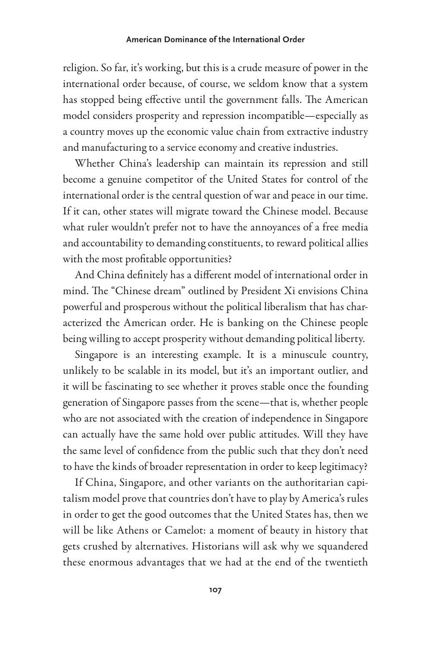religion. So far, it's working, but this is a crude measure of power in the international order because, of course, we seldom know that a system has stopped being effective until the government falls. The American model considers prosperity and repression incompatible—especially as a country moves up the economic value chain from extractive industry and manufacturing to a service economy and creative industries.

Whether China's leadership can maintain its repression and still become a genuine competitor of the United States for control of the international order is the central question of war and peace in our time. If it can, other states will migrate toward the Chinese model. Because what ruler wouldn't prefer not to have the annoyances of a free media and accountability to demanding constituents, to reward political allies with the most profitable opportunities?

And China definitely has a different model of international order in mind. The "Chinese dream" outlined by President Xi envisions China powerful and prosperous without the political liberalism that has characterized the American order. He is banking on the Chinese people being willing to accept prosperity without demanding political liberty.

Singapore is an interesting example. It is a minuscule country, unlikely to be scalable in its model, but it's an important outlier, and it will be fascinating to see whether it proves stable once the founding generation of Singapore passes from the scene—that is, whether people who are not associated with the creation of independence in Singapore can actually have the same hold over public attitudes. Will they have the same level of confidence from the public such that they don't need to have the kinds of broader representation in order to keep legitimacy?

If China, Singapore, and other variants on the authoritarian capitalism model prove that countries don't have to play by America's rules in order to get the good outcomes that the United States has, then we will be like Athens or Camelot: a moment of beauty in history that gets crushed by alternatives. Historians will ask why we squandered these enormous advantages that we had at the end of the twentieth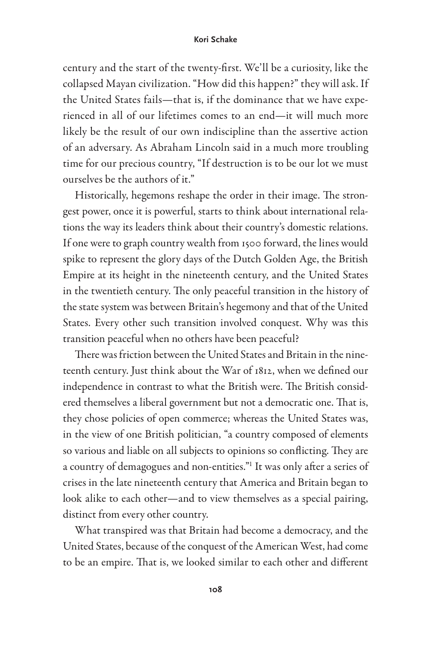century and the start of the twenty-first. We'll be a curiosity, like the collapsed Mayan civilization. "How did this happen?" they will ask. If the United States fails—that is, if the dominance that we have experienced in all of our lifetimes comes to an end—it will much more likely be the result of our own indiscipline than the assertive action of an adversary. As Abraham Lincoln said in a much more troubling time for our precious country, "If destruction is to be our lot we must ourselves be the authors of it."

Historically, hegemons reshape the order in their image. The strongest power, once it is powerful, starts to think about international relations the way its leaders think about their country's domestic relations. If one were to graph country wealth from 1500 forward, the lines would spike to represent the glory days of the Dutch Golden Age, the British Empire at its height in the nineteenth century, and the United States in the twentieth century. The only peaceful transition in the history of the state system was between Britain's hegemony and that of the United States. Every other such transition involved conquest. Why was this transition peaceful when no others have been peaceful?

There was friction between the United States and Britain in the nineteenth century. Just think about the War of 1812, when we defined our independence in contrast to what the British were. The British considered themselves a liberal government but not a democratic one. That is, they chose policies of open commerce; whereas the United States was, in the view of one British politician, "a country composed of elements so various and liable on all subjects to opinions so conflicting. They are a country of demagogues and non-entities."<sup>1</sup> It was only after a series of crises in the late nineteenth century that America and Britain began to look alike to each other—and to view themselves as a special pairing, distinct from every other country.

What transpired was that Britain had become a democracy, and the United States, because of the conquest of the American West, had come to be an empire. That is, we looked similar to each other and different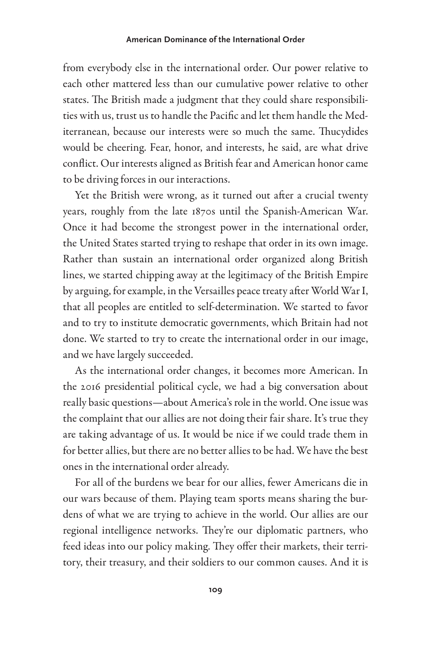from everybody else in the international order. Our power relative to each other mattered less than our cumulative power relative to other states. The British made a judgment that they could share responsibilities with us, trust us to handle the Pacific and let them handle the Mediterranean, because our interests were so much the same. Thucydides would be cheering. Fear, honor, and interests, he said, are what drive conflict. Our interests aligned as British fear and American honor came to be driving forces in our interactions.

Yet the British were wrong, as it turned out after a crucial twenty years, roughly from the late 1870s until the Spanish-American War. Once it had become the strongest power in the international order, the United States started trying to reshape that order in its own image. Rather than sustain an international order organized along British lines, we started chipping away at the legitimacy of the British Empire by arguing, for example, in the Versailles peace treaty after World War I, that all peoples are entitled to self-determination. We started to favor and to try to institute democratic governments, which Britain had not done. We started to try to create the international order in our image, and we have largely succeeded.

As the international order changes, it becomes more American. In the 2016 presidential political cycle, we had a big conversation about really basic questions—about America's role in the world. One issue was the complaint that our allies are not doing their fair share. It's true they are taking advantage of us. It would be nice if we could trade them in for better allies, but there are no better allies to be had. We have the best ones in the international order already.

For all of the burdens we bear for our allies, fewer Americans die in our wars because of them. Playing team sports means sharing the burdens of what we are trying to achieve in the world. Our allies are our regional intelligence networks. They're our diplomatic partners, who feed ideas into our policy making. They offer their markets, their territory, their treasury, and their soldiers to our common causes. And it is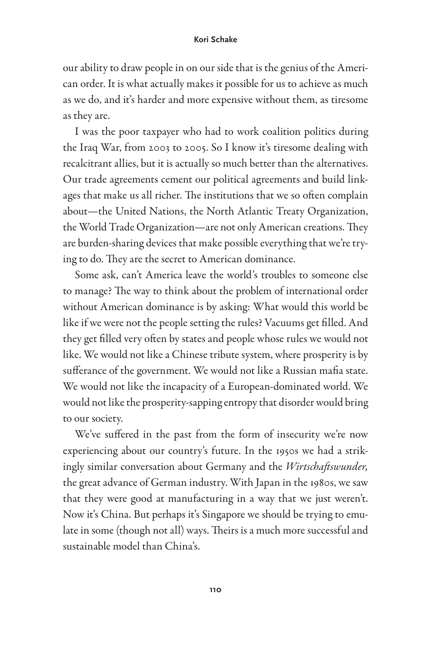our ability to draw people in on our side that is the genius of the American order. It is what actually makes it possible for us to achieve as much as we do, and it's harder and more expensive without them, as tiresome as they are.

I was the poor taxpayer who had to work coalition politics during the Iraq War, from 2003 to 2005. So I know it's tiresome dealing with recalcitrant allies, but it is actually so much better than the alternatives. Our trade agreements cement our political agreements and build linkages that make us all richer. The institutions that we so often complain about—the United Nations, the North Atlantic Treaty Organization, the World Trade Organization—are not only American creations. They are burden- sharing devices that make possible everything that we're trying to do. They are the secret to American dominance.

Some ask, can't America leave the world's troubles to someone else to manage? The way to think about the problem of international order without American dominance is by asking: What would this world be like if we were not the people setting the rules? Vacuums get filled. And they get filled very often by states and people whose rules we would not like. We would not like a Chinese tribute system, where prosperity is by sufferance of the government. We would not like a Russian mafia state. We would not like the incapacity of a European- dominated world. We would not like the prosperity-sapping entropy that disorder would bring to our society.

We've suffered in the past from the form of insecurity we're now experiencing about our country's future. In the 1950s we had a strikingly similar conversation about Germany and the *Wirtschaftswunder*, the great advance of German industry. With Japan in the 1980s, we saw that they were good at manufacturing in a way that we just weren't. Now it's China. But perhaps it's Singapore we should be trying to emulate in some (though not all) ways. Theirs is a much more successful and sustainable model than China's.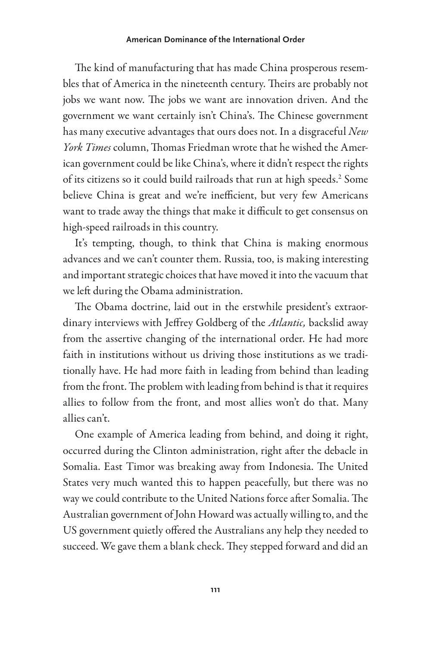The kind of manufacturing that has made China prosperous resembles that of America in the nineteenth century. Theirs are probably not jobs we want now. The jobs we want are innovation driven. And the government we want certainly isn't China's. The Chinese government has many executive advantages that ours does not. In a disgraceful *New York Times* column, Thomas Friedman wrote that he wished the American government could be like China's, where it didn't respect the rights of its citizens so it could build railroads that run at high speeds.2 Some believe China is great and we're inefficient, but very few Americans want to trade away the things that make it difficult to get consensus on high-speed railroads in this country.

It's tempting, though, to think that China is making enormous advances and we can't counter them. Russia, too, is making interesting and important strategic choices that have moved it into the vacuum that we left during the Obama administration.

The Obama doctrine, laid out in the erstwhile president's extraordinary interviews with Jeffrey Goldberg of the *Atlantic*, backslid away from the assertive changing of the international order. He had more faith in institutions without us driving those institutions as we traditionally have. He had more faith in leading from behind than leading from the front. The problem with leading from behind is that it requires allies to follow from the front, and most allies won't do that. Many allies can't.

One example of America leading from behind, and doing it right, occurred during the Clinton administration, right after the debacle in Somalia. East Timor was breaking away from Indonesia. The United States very much wanted this to happen peacefully, but there was no way we could contribute to the United Nations force after Somalia. The Australian government of John Howard was actually willing to, and the US government quietly offered the Australians any help they needed to succeed. We gave them a blank check. They stepped forward and did an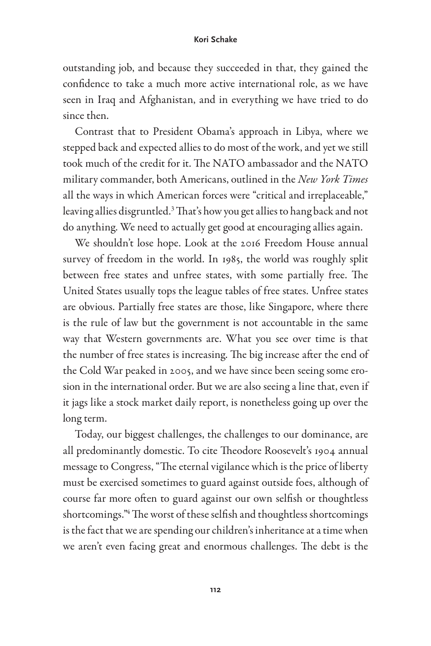outstanding job, and because they succeeded in that, they gained the confidence to take a much more active international role, as we have seen in Iraq and Afghanistan, and in everything we have tried to do since then.

Contrast that to President Obama's approach in Libya, where we stepped back and expected allies to do most of the work, and yet we still took much of the credit for it. The NATO ambassador and the NATO military commander, both Americans, outlined in the *New York Times* all the ways in which American forces were "critical and irreplaceable," leaving allies disgruntled.<sup>3</sup> That's how you get allies to hang back and not do anything. We need to actually get good at encouraging allies again.

We shouldn't lose hope. Look at the 2016 Freedom House annual survey of freedom in the world. In 1985, the world was roughly split between free states and unfree states, with some partially free. The United States usually tops the league tables of free states. Unfree states are obvious. Partially free states are those, like Singapore, where there is the rule of law but the government is not accountable in the same way that Western governments are. What you see over time is that the number of free states is increasing. The big increase after the end of the Cold War peaked in 2005, and we have since been seeing some erosion in the international order. But we are also seeing a line that, even if it jags like a stock market daily report, is nonetheless going up over the long term.

Today, our biggest challenges, the challenges to our dominance, are all predominantly domestic. To cite Theodore Roosevelt's 1904 annual message to Congress, "The eternal vigilance which is the price of liberty must be exercised sometimes to guard against outside foes, although of course far more often to guard against our own selfish or thoughtless shortcomings."<sup>4</sup> The worst of these selfish and thoughtless shortcomings is the fact that we are spending our children's inheritance at a time when we aren't even facing great and enormous challenges. The debt is the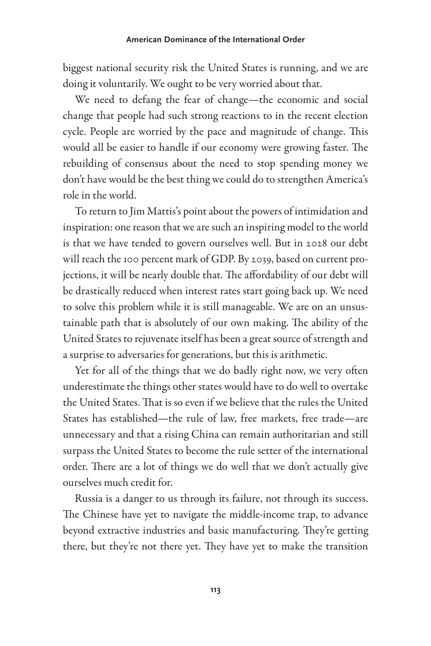biggest national security risk the United States is running, and we are doing it voluntarily. We ought to be very worried about that.

We need to defang the fear of change—the economic and social change that people had such strong reactions to in the recent election cycle. People are worried by the pace and magnitude of change. This would all be easier to handle if our economy were growing faster. The rebuilding of consensus about the need to stop spending money we don't have would be the best thing we could do to strengthen America's role in the world.

To return to Jim Mattis's point about the powers of intimidation and inspiration: one reason that we are such an inspiring model to the world is that we have tended to govern ourselves well. But in 2028 our debt will reach the 100 percent mark of GDP. By 2039, based on current projections, it will be nearly double that. The affordability of our debt will be drastically reduced when interest rates start going back up. We need to solve this problem while it is still manageable. We are on an unsustainable path that is absolutely of our own making. The ability of the United States to rejuvenate itself has been a great source of strength and a surprise to adversaries for generations, but this is arithmetic.

Yet for all of the things that we do badly right now, we very often underestimate the things other states would have to do well to overtake the United States. That is so even if we believe that the rules the United States has established—the rule of law, free markets, free trade—are unnecessary and that a rising China can remain authoritarian and still surpass the United States to become the rule setter of the international order. There are a lot of things we do well that we don't actually give ourselves much credit for.

Russia is a danger to us through its failure, not through its success. The Chinese have yet to navigate the middle-income trap, to advance beyond extractive industries and basic manufacturing. They're getting there, but they're not there yet. They have yet to make the transition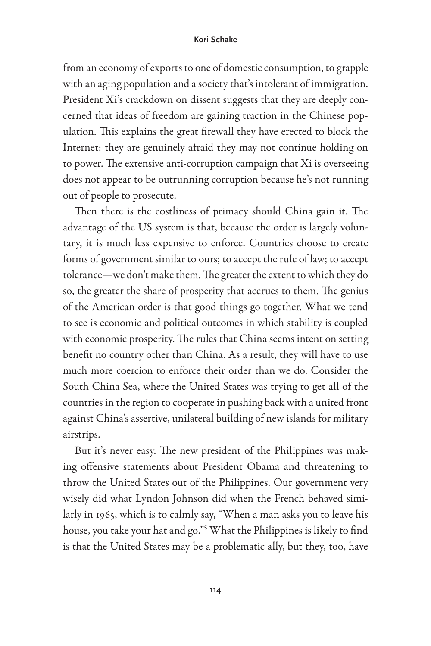from an economy of exports to one of domestic consumption, to grapple with an aging population and a society that's intolerant of immigration. President Xi's crackdown on dissent suggests that they are deeply concerned that ideas of freedom are gaining traction in the Chinese population. This explains the great firewall they have erected to block the Internet: they are genuinely afraid they may not continue holding on to power. The extensive anti-corruption campaign that Xi is overseeing does not appear to be outrunning corruption because he's not running out of people to prosecute.

Then there is the costliness of primacy should China gain it. The advantage of the US system is that, because the order is largely voluntary, it is much less expensive to enforce. Countries choose to create forms of government similar to ours; to accept the rule of law; to accept tolerance—we don't make them. The greater the extent to which they do so, the greater the share of prosperity that accrues to them. The genius of the American order is that good things go together. What we tend to see is economic and political outcomes in which stability is coupled with economic prosperity. The rules that China seems intent on setting benefit no country other than China. As a result, they will have to use much more coercion to enforce their order than we do. Consider the South China Sea, where the United States was trying to get all of the countries in the region to cooperate in pushing back with a united front against China's assertive, unilateral building of new islands for military airstrips.

But it's never easy. The new president of the Philippines was making offensive statements about President Obama and threatening to throw the United States out of the Philippines. Our government very wisely did what Lyndon Johnson did when the French behaved similarly in 1965, which is to calmly say, "When a man asks you to leave his house, you take your hat and go."<sup>5</sup> What the Philippines is likely to find is that the United States may be a problematic ally, but they, too, have